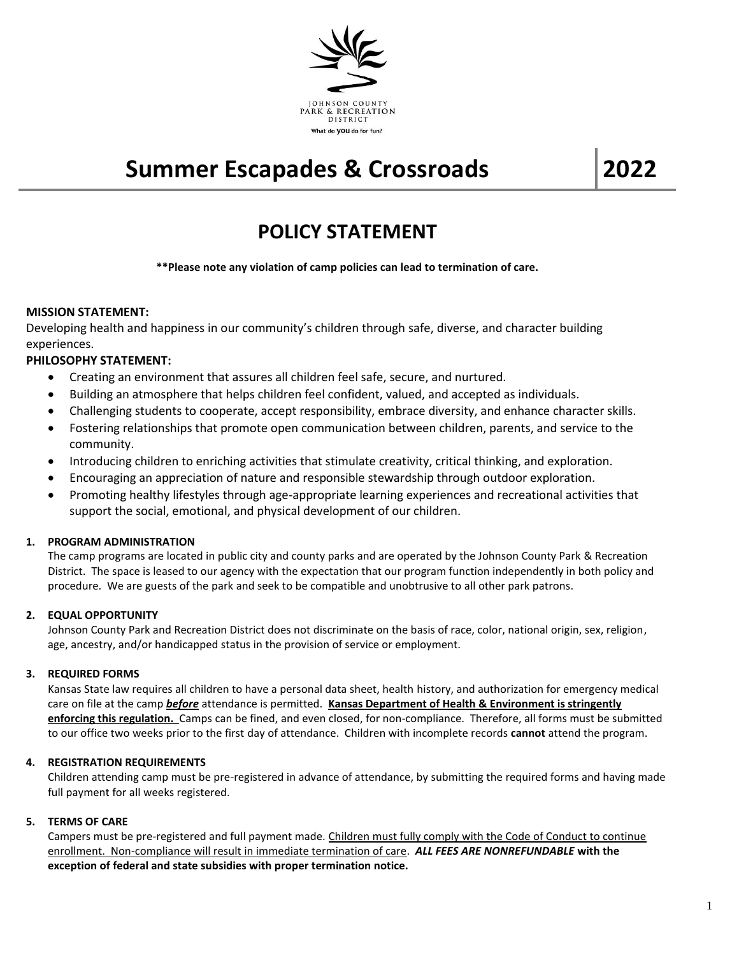

# **Summer Escapades & Crossroads 2022**

# **POLICY STATEMENT**

**\*\*Please note any violation of camp policies can lead to termination of care.**

# **MISSION STATEMENT:**

Developing health and happiness in our community's children through safe, diverse, and character building experiences.

# **PHILOSOPHY STATEMENT:**

- Creating an environment that assures all children feel safe, secure, and nurtured.
- Building an atmosphere that helps children feel confident, valued, and accepted as individuals.
- Challenging students to cooperate, accept responsibility, embrace diversity, and enhance character skills.
- Fostering relationships that promote open communication between children, parents, and service to the community.
- Introducing children to enriching activities that stimulate creativity, critical thinking, and exploration.
- Encouraging an appreciation of nature and responsible stewardship through outdoor exploration.
- Promoting healthy lifestyles through age-appropriate learning experiences and recreational activities that support the social, emotional, and physical development of our children.

# **1. PROGRAM ADMINISTRATION**

The camp programs are located in public city and county parks and are operated by the Johnson County Park & Recreation District. The space is leased to our agency with the expectation that our program function independently in both policy and procedure. We are guests of the park and seek to be compatible and unobtrusive to all other park patrons.

# **2. EQUAL OPPORTUNITY**

Johnson County Park and Recreation District does not discriminate on the basis of race, color, national origin, sex, religion, age, ancestry, and/or handicapped status in the provision of service or employment.

# **3. REQUIRED FORMS**

Kansas State law requires all children to have a personal data sheet, health history, and authorization for emergency medical care on file at the camp *before* attendance is permitted. **Kansas Department of Health & Environment is stringently enforcing this regulation.** Camps can be fined, and even closed, for non-compliance. Therefore, all forms must be submitted to our office two weeks prior to the first day of attendance. Children with incomplete records **cannot** attend the program.

# **4. REGISTRATION REQUIREMENTS**

Children attending camp must be pre-registered in advance of attendance, by submitting the required forms and having made full payment for all weeks registered.

# **5. TERMS OF CARE**

Campers must be pre-registered and full payment made. Children must fully comply with the Code of Conduct to continue enrollment. Non-compliance will result in immediate termination of care. *ALL FEES ARE NONREFUNDABLE* **with the exception of federal and state subsidies with proper termination notice.**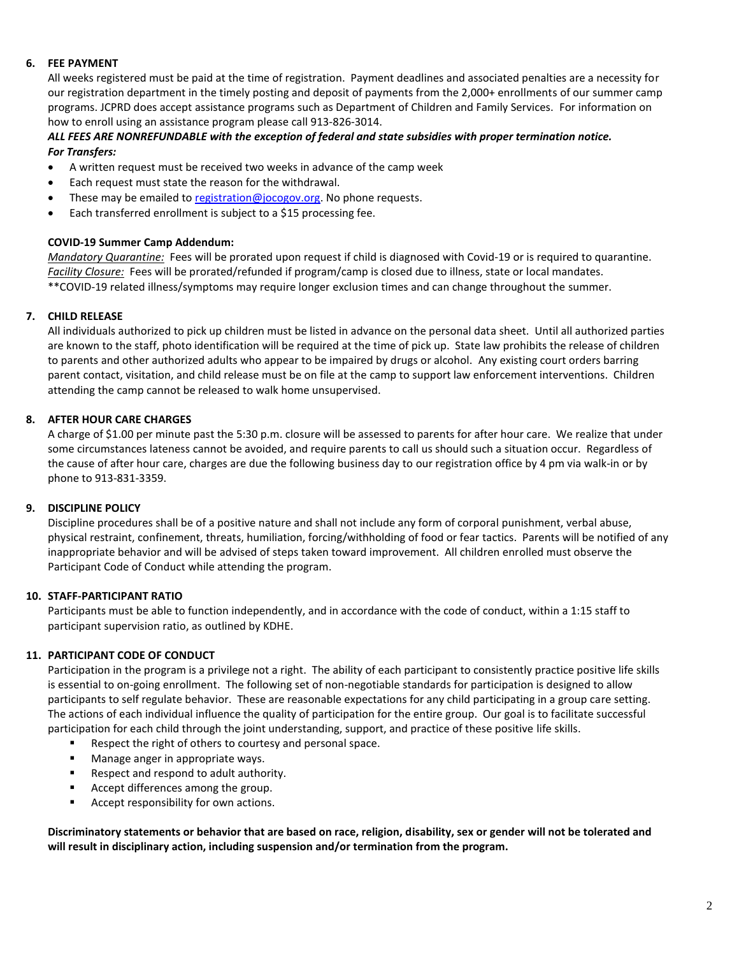# **6. FEE PAYMENT**

All weeks registered must be paid at the time of registration. Payment deadlines and associated penalties are a necessity for our registration department in the timely posting and deposit of payments from the 2,000+ enrollments of our summer camp programs. JCPRD does accept assistance programs such as Department of Children and Family Services. For information on how to enroll using an assistance program please call 913-826-3014.

# *ALL FEES ARE NONREFUNDABLE with the exception of federal and state subsidies with proper termination notice. For Transfers:*

- A written request must be received two weeks in advance of the camp week
- Each request must state the reason for the withdrawal.
- These may be emailed t[o registration@jocogov.org.](mailto:registration@jocogov.org) No phone requests.
- Each transferred enrollment is subject to a \$15 processing fee.

#### **COVID-19 Summer Camp Addendum:**

*Mandatory Quarantine:* Fees will be prorated upon request if child is diagnosed with Covid-19 or is required to quarantine. *Facility Closure:* Fees will be prorated/refunded if program/camp is closed due to illness, state or local mandates. \*\*COVID-19 related illness/symptoms may require longer exclusion times and can change throughout the summer.

#### **7. CHILD RELEASE**

All individuals authorized to pick up children must be listed in advance on the personal data sheet. Until all authorized parties are known to the staff, photo identification will be required at the time of pick up. State law prohibits the release of children to parents and other authorized adults who appear to be impaired by drugs or alcohol. Any existing court orders barring parent contact, visitation, and child release must be on file at the camp to support law enforcement interventions. Children attending the camp cannot be released to walk home unsupervised.

# **8. AFTER HOUR CARE CHARGES**

A charge of \$1.00 per minute past the 5:30 p.m. closure will be assessed to parents for after hour care. We realize that under some circumstances lateness cannot be avoided, and require parents to call us should such a situation occur. Regardless of the cause of after hour care, charges are due the following business day to our registration office by 4 pm via walk-in or by phone to 913-831-3359.

# **9. DISCIPLINE POLICY**

Discipline procedures shall be of a positive nature and shall not include any form of corporal punishment, verbal abuse, physical restraint, confinement, threats, humiliation, forcing/withholding of food or fear tactics. Parents will be notified of any inappropriate behavior and will be advised of steps taken toward improvement. All children enrolled must observe the Participant Code of Conduct while attending the program.

# **10. STAFF-PARTICIPANT RATIO**

Participants must be able to function independently, and in accordance with the code of conduct, within a 1:15 staff to participant supervision ratio, as outlined by KDHE.

# **11. PARTICIPANT CODE OF CONDUCT**

Participation in the program is a privilege not a right. The ability of each participant to consistently practice positive life skills is essential to on-going enrollment. The following set of non-negotiable standards for participation is designed to allow participants to self regulate behavior. These are reasonable expectations for any child participating in a group care setting. The actions of each individual influence the quality of participation for the entire group. Our goal is to facilitate successful participation for each child through the joint understanding, support, and practice of these positive life skills.

- Respect the right of others to courtesy and personal space.
- Manage anger in appropriate ways.
- Respect and respond to adult authority.
- Accept differences among the group.
- Accept responsibility for own actions.

**Discriminatory statements or behavior that are based on race, religion, disability, sex or gender will not be tolerated and will result in disciplinary action, including suspension and/or termination from the program.**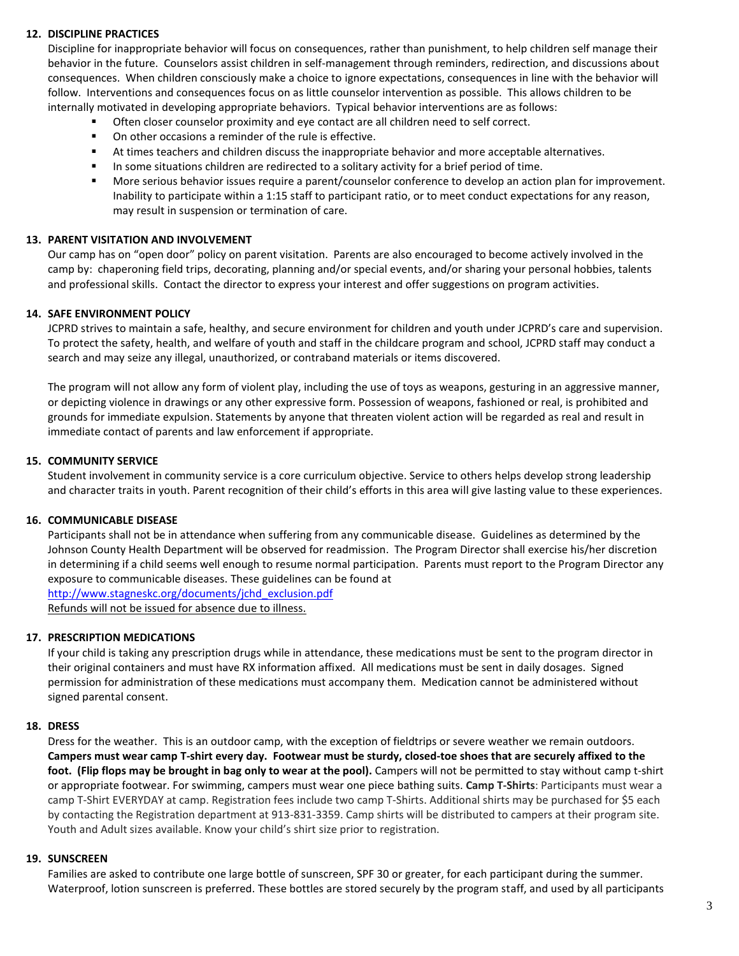# **12. DISCIPLINE PRACTICES**

Discipline for inappropriate behavior will focus on consequences, rather than punishment, to help children self manage their behavior in the future. Counselors assist children in self-management through reminders, redirection, and discussions about consequences. When children consciously make a choice to ignore expectations, consequences in line with the behavior will follow. Interventions and consequences focus on as little counselor intervention as possible. This allows children to be internally motivated in developing appropriate behaviors. Typical behavior interventions are as follows:

- Often closer counselor proximity and eye contact are all children need to self correct.
- On other occasions a reminder of the rule is effective.
- At times teachers and children discuss the inappropriate behavior and more acceptable alternatives.
- In some situations children are redirected to a solitary activity for a brief period of time.
- More serious behavior issues require a parent/counselor conference to develop an action plan for improvement. Inability to participate within a 1:15 staff to participant ratio, or to meet conduct expectations for any reason, may result in suspension or termination of care.

# **13. PARENT VISITATION AND INVOLVEMENT**

Our camp has on "open door" policy on parent visitation. Parents are also encouraged to become actively involved in the camp by: chaperoning field trips, decorating, planning and/or special events, and/or sharing your personal hobbies, talents and professional skills. Contact the director to express your interest and offer suggestions on program activities.

#### **14. SAFE ENVIRONMENT POLICY**

JCPRD strives to maintain a safe, healthy, and secure environment for children and youth under JCPRD's care and supervision. To protect the safety, health, and welfare of youth and staff in the childcare program and school, JCPRD staff may conduct a search and may seize any illegal, unauthorized, or contraband materials or items discovered.

The program will not allow any form of violent play, including the use of toys as weapons, gesturing in an aggressive manner, or depicting violence in drawings or any other expressive form. Possession of weapons, fashioned or real, is prohibited and grounds for immediate expulsion. Statements by anyone that threaten violent action will be regarded as real and result in immediate contact of parents and law enforcement if appropriate.

#### **15. COMMUNITY SERVICE**

Student involvement in community service is a core curriculum objective. Service to others helps develop strong leadership and character traits in youth. Parent recognition of their child's efforts in this area will give lasting value to these experiences.

# **16. COMMUNICABLE DISEASE**

Participants shall not be in attendance when suffering from any communicable disease. Guidelines as determined by the Johnson County Health Department will be observed for readmission. The Program Director shall exercise his/her discretion in determining if a child seems well enough to resume normal participation. Parents must report to the Program Director any exposure to communicable diseases. These guidelines can be found at [http://www.stagneskc.org/documents/jchd\\_exclusion.pdf](http://www.stagneskc.org/documents/jchd_exclusion.pdf) Refunds will not be issued for absence due to illness.

#### **17. PRESCRIPTION MEDICATIONS**

If your child is taking any prescription drugs while in attendance, these medications must be sent to the program director in their original containers and must have RX information affixed. All medications must be sent in daily dosages. Signed permission for administration of these medications must accompany them. Medication cannot be administered without signed parental consent.

# **18. DRESS**

Dress for the weather. This is an outdoor camp, with the exception of fieldtrips or severe weather we remain outdoors. **Campers must wear camp T-shirt every day. Footwear must be sturdy, closed-toe shoes that are securely affixed to the foot. (Flip flops may be brought in bag only to wear at the pool).** Campers will not be permitted to stay without camp t-shirt or appropriate footwear. For swimming, campers must wear one piece bathing suits. **Camp T-Shirts**: Participants must wear a camp T-Shirt EVERYDAY at camp. Registration fees include two camp T-Shirts. Additional shirts may be purchased for \$5 each by contacting the Registration department at 913-831-3359. Camp shirts will be distributed to campers at their program site. Youth and Adult sizes available. Know your child's shirt size prior to registration.

#### **19. SUNSCREEN**

Families are asked to contribute one large bottle of sunscreen, SPF 30 or greater, for each participant during the summer. Waterproof, lotion sunscreen is preferred. These bottles are stored securely by the program staff, and used by all participants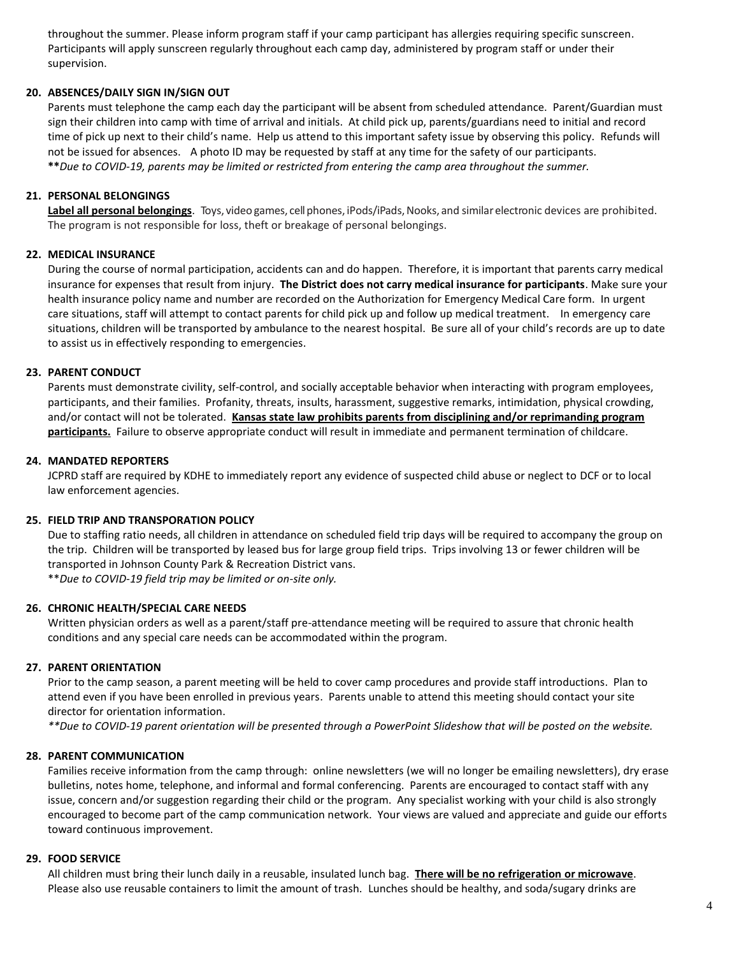throughout the summer. Please inform program staff if your camp participant has allergies requiring specific sunscreen. Participants will apply sunscreen regularly throughout each camp day, administered by program staff or under their supervision.

# **20. ABSENCES/DAILY SIGN IN/SIGN OUT**

Parents must telephone the camp each day the participant will be absent from scheduled attendance. Parent/Guardian must sign their children into camp with time of arrival and initials. At child pick up, parents/guardians need to initial and record time of pick up next to their child's name. Help us attend to this important safety issue by observing this policy. Refunds will not be issued for absences. A photo ID may be requested by staff at any time for the safety of our participants. **\*\****Due to COVID-19, parents may be limited or restricted from entering the camp area throughout the summer.*

# **21. PERSONAL BELONGINGS**

Label all personal belongings. Toys, video games, cell phones, iPods/iPads, Nooks, and similar electronic devices are prohibited. The program is not responsible for loss, theft or breakage of personal belongings.

#### **22. MEDICAL INSURANCE**

During the course of normal participation, accidents can and do happen. Therefore, it is important that parents carry medical insurance for expenses that result from injury. **The District does not carry medical insurance for participants**. Make sure your health insurance policy name and number are recorded on the Authorization for Emergency Medical Care form. In urgent care situations, staff will attempt to contact parents for child pick up and follow up medical treatment. In emergency care situations, children will be transported by ambulance to the nearest hospital. Be sure all of your child's records are up to date to assist us in effectively responding to emergencies.

#### **23. PARENT CONDUCT**

Parents must demonstrate civility, self-control, and socially acceptable behavior when interacting with program employees, participants, and their families. Profanity, threats, insults, harassment, suggestive remarks, intimidation, physical crowding, and/or contact will not be tolerated. **Kansas state law prohibits parents from disciplining and/or reprimanding program participants.** Failure to observe appropriate conduct will result in immediate and permanent termination of childcare.

#### **24. MANDATED REPORTERS**

JCPRD staff are required by KDHE to immediately report any evidence of suspected child abuse or neglect to DCF or to local law enforcement agencies.

#### **25. FIELD TRIP AND TRANSPORATION POLICY**

Due to staffing ratio needs, all children in attendance on scheduled field trip days will be required to accompany the group on the trip. Children will be transported by leased bus for large group field trips. Trips involving 13 or fewer children will be transported in Johnson County Park & Recreation District vans. \*\**Due to COVID-19 field trip may be limited or on-site only.*

#### **26. CHRONIC HEALTH/SPECIAL CARE NEEDS**

Written physician orders as well as a parent/staff pre-attendance meeting will be required to assure that chronic health conditions and any special care needs can be accommodated within the program.

#### **27. PARENT ORIENTATION**

Prior to the camp season, a parent meeting will be held to cover camp procedures and provide staff introductions. Plan to attend even if you have been enrolled in previous years. Parents unable to attend this meeting should contact your site director for orientation information.

*\*\*Due to COVID-19 parent orientation will be presented through a PowerPoint Slideshow that will be posted on the website.*

#### **28. PARENT COMMUNICATION**

Families receive information from the camp through: online newsletters (we will no longer be emailing newsletters), dry erase bulletins, notes home, telephone, and informal and formal conferencing. Parents are encouraged to contact staff with any issue, concern and/or suggestion regarding their child or the program. Any specialist working with your child is also strongly encouraged to become part of the camp communication network. Your views are valued and appreciate and guide our efforts toward continuous improvement.

#### **29. FOOD SERVICE**

All children must bring their lunch daily in a reusable, insulated lunch bag. **There will be no refrigeration or microwave**. Please also use reusable containers to limit the amount of trash. Lunches should be healthy, and soda/sugary drinks are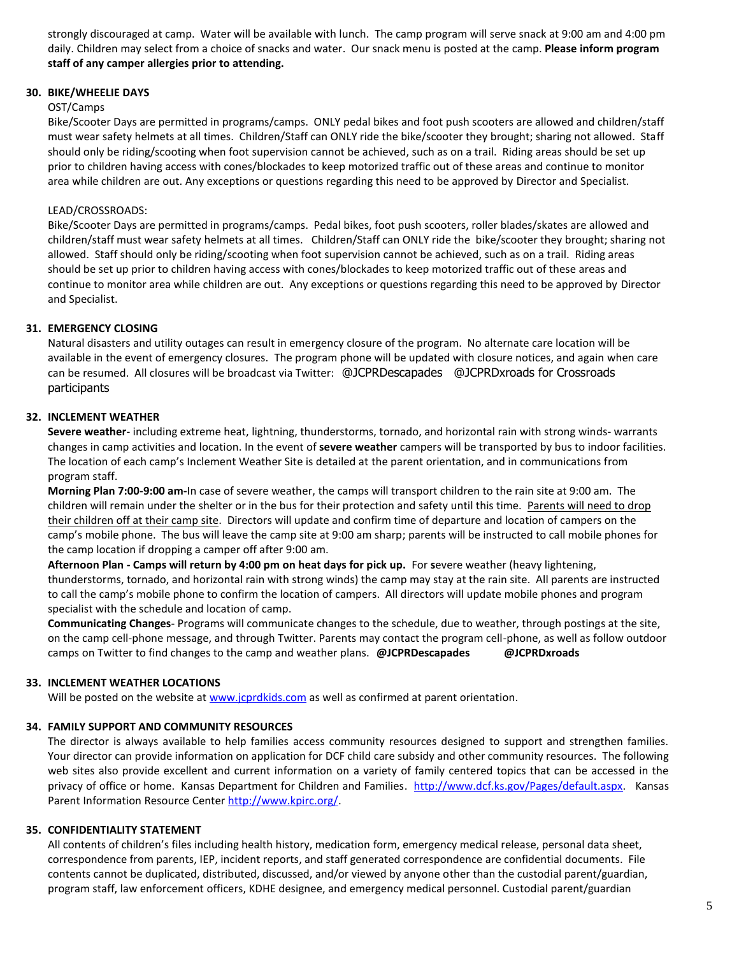strongly discouraged at camp. Water will be available with lunch. The camp program will serve snack at 9:00 am and 4:00 pm daily. Children may select from a choice of snacks and water. Our snack menu is posted at the camp. **Please inform program staff of any camper allergies prior to attending.**

# **30. BIKE/WHEELIE DAYS**

#### OST/Camps

Bike/Scooter Days are permitted in programs/camps. ONLY pedal bikes and foot push scooters are allowed and children/staff must wear safety helmets at all times. Children/Staff can ONLY ride the bike/scooter they brought; sharing not allowed. Staff should only be riding/scooting when foot supervision cannot be achieved, such as on a trail. Riding areas should be set up prior to children having access with cones/blockades to keep motorized traffic out of these areas and continue to monitor area while children are out. Any exceptions or questions regarding this need to be approved by Director and Specialist.

#### LEAD/CROSSROADS:

Bike/Scooter Days are permitted in programs/camps. Pedal bikes, foot push scooters, roller blades/skates are allowed and children/staff must wear safety helmets at all times. Children/Staff can ONLY ride the bike/scooter they brought; sharing not allowed. Staff should only be riding/scooting when foot supervision cannot be achieved, such as on a trail. Riding areas should be set up prior to children having access with cones/blockades to keep motorized traffic out of these areas and continue to monitor area while children are out. Any exceptions or questions regarding this need to be approved by Director and Specialist.

#### **31. EMERGENCY CLOSING**

Natural disasters and utility outages can result in emergency closure of the program. No alternate care location will be available in the event of emergency closures. The program phone will be updated with closure notices, and again when care can be resumed. All closures will be broadcast via Twitter: @JCPRDescapades @JCPRDxroads for Crossroads participants

#### **32. INCLEMENT WEATHER**

**Severe weather**- including extreme heat, lightning, thunderstorms, tornado, and horizontal rain with strong winds- warrants changes in camp activities and location. In the event of **severe weather** campers will be transported by bus to indoor facilities. The location of each camp's Inclement Weather Site is detailed at the parent orientation, and in communications from program staff.

**Morning Plan 7:00-9:00 am-**In case of severe weather, the camps will transport children to the rain site at 9:00 am. The children will remain under the shelter or in the bus for their protection and safety until this time. Parents will need to drop their children off at their camp site. Directors will update and confirm time of departure and location of campers on the camp's mobile phone. The bus will leave the camp site at 9:00 am sharp; parents will be instructed to call mobile phones for the camp location if dropping a camper off after 9:00 am.

**Afternoon Plan - Camps will return by 4:00 pm on heat days for pick up.** For **s**evere weather (heavy lightening, thunderstorms, tornado, and horizontal rain with strong winds) the camp may stay at the rain site. All parents are instructed to call the camp's mobile phone to confirm the location of campers. All directors will update mobile phones and program specialist with the schedule and location of camp.

**Communicating Changes**- Programs will communicate changes to the schedule, due to weather, through postings at the site, on the camp cell-phone message, and through Twitter. Parents may contact the program cell-phone, as well as follow outdoor camps on Twitter to find changes to the camp and weather plans. **@JCPRDescapades @JCPRDxroads**

#### **33. INCLEMENT WEATHER LOCATIONS**

Will be posted on the website a[t www.jcprdkids.com](http://www.jcprdkids.com/) as well as confirmed at parent orientation.

# **34. FAMILY SUPPORT AND COMMUNITY RESOURCES**

The director is always available to help families access community resources designed to support and strengthen families. Your director can provide information on application for DCF child care subsidy and other community resources. The following web sites also provide excellent and current information on a variety of family centered topics that can be accessed in the privacy of office or home. Kansas Department for Children and Families. [http://www.dcf.ks.gov/Pages/default.aspx.](http://www.dcf.ks.gov/Pages/default.aspx) Kansas Parent Information Resource Center [http://www.kpirc.org/.](http://www.kpirc.org/) 

#### **35. CONFIDENTIALITY STATEMENT**

All contents of children's files including health history, medication form, emergency medical release, personal data sheet, correspondence from parents, IEP, incident reports, and staff generated correspondence are confidential documents. File contents cannot be duplicated, distributed, discussed, and/or viewed by anyone other than the custodial parent/guardian, program staff, law enforcement officers, KDHE designee, and emergency medical personnel. Custodial parent/guardian